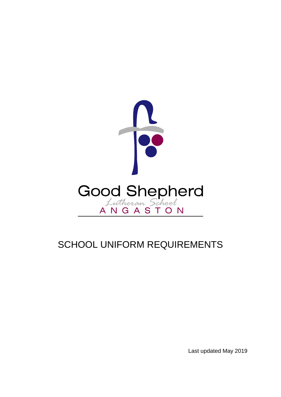

# SCHOOL UNIFORM REQUIREMENTS

Last updated May 2019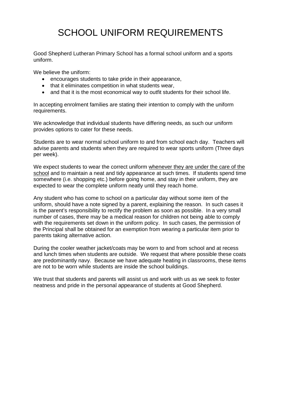# SCHOOL UNIFORM REQUIREMENTS

Good Shepherd Lutheran Primary School has a formal school uniform and a sports uniform.

We believe the uniform:

- encourages students to take pride in their appearance,
- that it eliminates competition in what students wear,
- and that it is the most economical way to outfit students for their school life.

In accepting enrolment families are stating their intention to comply with the uniform requirements.

We acknowledge that individual students have differing needs, as such our uniform provides options to cater for these needs.

Students are to wear normal school uniform to and from school each day. Teachers will advise parents and students when they are required to wear sports uniform (Three days per week).

We expect students to wear the correct uniform whenever they are under the care of the school and to maintain a neat and tidy appearance at such times. If students spend time somewhere (i.e. shopping etc.) before going home, and stay in their uniform, they are expected to wear the complete uniform neatly until they reach home.

Any student who has come to school on a particular day without some item of the uniform, should have a note signed by a parent, explaining the reason. In such cases it is the parent's responsibility to rectify the problem as soon as possible. In a very small number of cases, there may be a medical reason for children not being able to comply with the requirements set down in the uniform policy. In such cases, the permission of the Principal shall be obtained for an exemption from wearing a particular item prior to parents taking alternative action.

During the cooler weather jacket/coats may be worn to and from school and at recess and lunch times when students are outside. We request that where possible these coats are predominantly navy. Because we have adequate heating in classrooms, these items are not to be worn while students are inside the school buildings.

We trust that students and parents will assist us and work with us as we seek to foster neatness and pride in the personal appearance of students at Good Shepherd.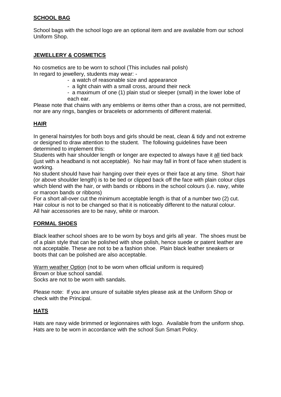#### **SCHOOL BAG**

School bags with the school logo are an optional item and are available from our school Uniform Shop.

## **JEWELLERY & COSMETICS**

No cosmetics are to be worn to school (This includes nail polish) In regard to jewellery, students may wear: -

- a watch of reasonable size and appearance
- a light chain with a small cross, around their neck
- a maximum of one (1) plain stud or sleeper (small) in the lower lobe of each ear.

Please note that chains with any emblems or items other than a cross, are not permitted, nor are any rings, bangles or bracelets or adornments of different material.

## **HAIR**

In general hairstyles for both boys and girls should be neat, clean & tidy and not extreme or designed to draw attention to the student. The following guidelines have been determined to implement this:

Students with hair shoulder length or longer are expected to always have it all tied back (just with a headband is not acceptable). No hair may fall in front of face when student is working.

No student should have hair hanging over their eyes or their face at any time. Short hair (or above shoulder length) is to be tied or clipped back off the face with plain colour clips which blend with the hair, or with bands or ribbons in the school colours (i.e. navy, white or maroon bands or ribbons)

For a short all-over cut the minimum acceptable length is that of a number two (2) cut. Hair colour is not to be changed so that it is noticeably different to the natural colour. All hair accessories are to be navy, white or maroon.

## **FORMAL SHOES**

Black leather school shoes are to be worn by boys and girls all year. The shoes must be of a plain style that can be polished with shoe polish, hence suede or patent leather are not acceptable. These are not to be a fashion shoe. Plain black leather sneakers or boots that can be polished are also acceptable.

Warm weather Option (not to be worn when official uniform is required) Brown or blue school sandal.

Socks are not to be worn with sandals.

Please note: If you are unsure of suitable styles please ask at the Uniform Shop or check with the Principal.

## **HATS**

Hats are navy wide brimmed or legionnaires with logo. Available from the uniform shop. Hats are to be worn in accordance with the school Sun Smart Policy.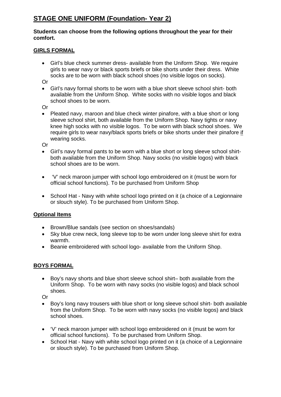# **STAGE ONE UNIFORM (Foundation- Year 2)**

#### **Students can choose from the following options throughout the year for their comfort.**

#### **GIRLS FORMAL**

• Girl's blue check summer dress- available from the Uniform Shop. We require girls to wear navy or black sports briefs or bike shorts under their dress. White socks are to be worn with black school shoes (no visible logos on socks).

Or

• Girl's navy formal shorts to be worn with a blue short sleeve school shirt- both available from the Uniform Shop. White socks with no visible logos and black school shoes to be worn.

Or

• Pleated navy, maroon and blue check winter pinafore, with a blue short or long sleeve school shirt, both available from the Uniform Shop. Navy tights or navy knee high socks with no visible logos. To be worn with black school shoes. We require girls to wear navy/black sports briefs or bike shorts under their pinafore if wearing socks.

Or

- Girl's navy formal pants to be worn with a blue short or long sleeve school shirtboth available from the Uniform Shop. Navy socks (no visible logos) with black school shoes are to be worn.
- 'V' neck maroon jumper with school logo embroidered on it (must be worn for official school functions). To be purchased from Uniform Shop
- School Hat Navy with white school logo printed on it (a choice of a Legionnaire or slouch style). To be purchased from Uniform Shop.

## **Optional Items**

- Brown/Blue sandals (see section on shoes/sandals)
- Sky blue crew neck, long sleeve top to be worn under long sleeve shirt for extra warmth.
- Beanie embroidered with school logo- available from the Uniform Shop.

## **BOYS FORMAL**

• Boy's navy shorts and blue short sleeve school shirt– both available from the Uniform Shop. To be worn with navy socks (no visible logos) and black school shoes.

Or

- Boy's long navy trousers with blue short or long sleeve school shirt- both available from the Uniform Shop. To be worn with navy socks (no visible logos) and black school shoes.
- 'V' neck maroon jumper with school logo embroidered on it (must be worn for official school functions). To be purchased from Uniform Shop.
- School Hat Navy with white school logo printed on it (a choice of a Legionnaire or slouch style). To be purchased from Uniform Shop.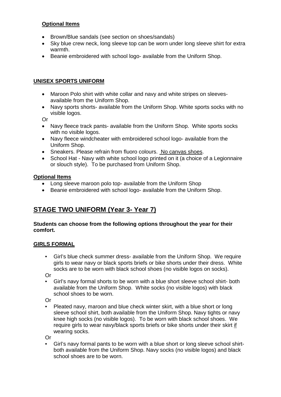# **Optional Items**

- Brown/Blue sandals (see section on shoes/sandals)
- Sky blue crew neck, long sleeve top can be worn under long sleeve shirt for extra warmth.
- Beanie embroidered with school logo- available from the Uniform Shop.

# **UNISEX SPORTS UNIFORM**

- Maroon Polo shirt with white collar and navy and white stripes on sleevesavailable from the Uniform Shop.
- Navy sports shorts- available from the Uniform Shop. White sports socks with no visible logos.

Or

- Navy fleece track pants- available from the Uniform Shop. White sports socks with no visible logos.
- Navy fleece windcheater with embroidered school logo- available from the Uniform Shop.
- Sneakers. Please refrain from fluoro colours. No canvas shoes.
- School Hat Navy with white school logo printed on it (a choice of a Legionnaire or slouch style). To be purchased from Uniform Shop.

# **Optional Items**

- Long sleeve maroon polo top- available from the Uniform Shop
- Beanie embroidered with school logo- available from the Uniform Shop.

# **STAGE TWO UNIFORM (Year 3- Year 7)**

#### **Students can choose from the following options throughout the year for their comfort.**

## **GIRLS FORMAL**

• Girl's blue check summer dress- available from the Uniform Shop. We require girls to wear navy or black sports briefs or bike shorts under their dress. White socks are to be worn with black school shoes (no visible logos on socks).

Or

• Girl's navy formal shorts to be worn with a blue short sleeve school shirt- both available from the Uniform Shop. White socks (no visible logos) with black school shoes to be worn.

Or

• Pleated navy, maroon and blue check winter skirt, with a blue short or long sleeve school shirt, both available from the Uniform Shop. Navy tights or navy knee high socks (no visible logos). To be worn with black school shoes. We require girls to wear navy/black sports briefs or bike shorts under their skirt if wearing socks.

Or

• Girl's navy formal pants to be worn with a blue short or long sleeve school shirtboth available from the Uniform Shop. Navy socks (no visible logos) and black school shoes are to be worn.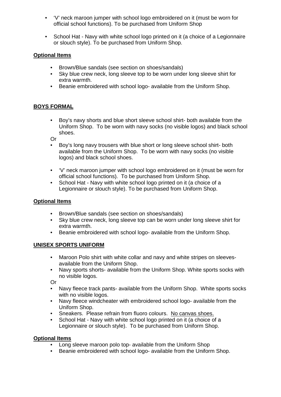- 'V' neck maroon jumper with school logo embroidered on it (must be worn for official school functions). To be purchased from Uniform Shop
- School Hat Navy with white school logo printed on it (a choice of a Legionnaire or slouch style). To be purchased from Uniform Shop.

# **Optional Items**

- Brown/Blue sandals (see section on shoes/sandals)
- Sky blue crew neck, long sleeve top to be worn under long sleeve shirt for extra warmth.
- Beanie embroidered with school logo- available from the Uniform Shop.

# **BOYS FORMAL**

• Boy's navy shorts and blue short sleeve school shirt- both available from the Uniform Shop. To be worn with navy socks (no visible logos) and black school shoes.

Or

- Boy's long navy trousers with blue short or long sleeve school shirt- both available from the Uniform Shop. To be worn with navy socks (no visible logos) and black school shoes.
- 'V' neck maroon jumper with school logo embroidered on it (must be worn for official school functions). To be purchased from Uniform Shop.
- School Hat Navy with white school logo printed on it (a choice of a Legionnaire or slouch style). To be purchased from Uniform Shop.

## **Optional Items**

- Brown/Blue sandals (see section on shoes/sandals)
- Sky blue crew neck, long sleeve top can be worn under long sleeve shirt for extra warmth.
- Beanie embroidered with school logo- available from the Uniform Shop.

#### **UNISEX SPORTS UNIFORM**

- Maroon Polo shirt with white collar and navy and white stripes on sleevesavailable from the Uniform Shop.
- Navy sports shorts- available from the Uniform Shop. White sports socks with no visible logos.

Or

- Navy fleece track pants- available from the Uniform Shop. White sports socks with no visible logos.
- Navy fleece windcheater with embroidered school logo- available from the Uniform Shop.
- Sneakers. Please refrain from fluoro colours. No canvas shoes.<br>• School Hat Navy with white school logo printed on it (a choice o
- School Hat Navy with white school logo printed on it (a choice of a Legionnaire or slouch style). To be purchased from Uniform Shop.

## **Optional Items**

- Long sleeve maroon polo top- available from the Uniform Shop
- Beanie embroidered with school logo- available from the Uniform Shop.